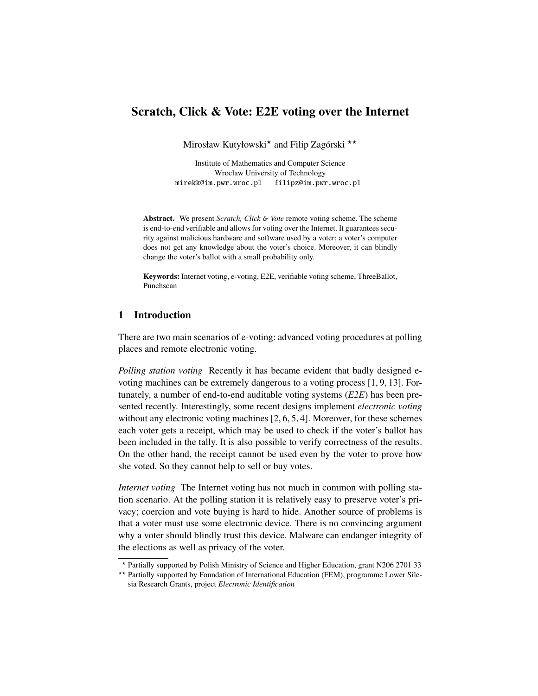# Scratch, Click & Vote: E2E voting over the Internet

Mirosław Kutyłowski<sup>\*</sup> and Filip Zagórski<sup>\*\*</sup>

Institute of Mathematics and Computer Science Wrocław University of Technology mirekk@im.pwr.wroc.pl filipz@im.pwr.wroc.pl

Abstract. We present *Scratch, Click* & *Vote* remote voting scheme. The scheme is end-to-end verifiable and allows for voting over the Internet. It guarantees security against malicious hardware and software used by a voter; a voter's computer does not get any knowledge about the voter's choice. Moreover, it can blindly change the voter's ballot with a small probability only.

Keywords: Internet voting, e-voting, E2E, verifiable voting scheme, ThreeBallot, Punchscan

## 1 Introduction

There are two main scenarios of e-voting: advanced voting procedures at polling places and remote electronic voting.

*Polling station voting* Recently it has became evident that badly designed evoting machines can be extremely dangerous to a voting process [1, 9, 13]. Fortunately, a number of end-to-end auditable voting systems (*E2E*) has been presented recently. Interestingly, some recent designs implement *electronic voting* without any electronic voting machines [2, 6, 5, 4]. Moreover, for these schemes each voter gets a receipt, which may be used to check if the voter's ballot has been included in the tally. It is also possible to verify correctness of the results. On the other hand, the receipt cannot be used even by the voter to prove how she voted. So they cannot help to sell or buy votes.

*Internet voting* The Internet voting has not much in common with polling station scenario. At the polling station it is relatively easy to preserve voter's privacy; coercion and vote buying is hard to hide. Another source of problems is that a voter must use some electronic device. There is no convincing argument why a voter should blindly trust this device. Malware can endanger integrity of the elections as well as privacy of the voter.

<sup>?</sup> Partially supported by Polish Ministry of Science and Higher Education, grant N206 2701 33

<sup>\*\*</sup> Partially supported by Foundation of International Education (FEM), programme Lower Silesia Research Grants, project *Electronic Identification*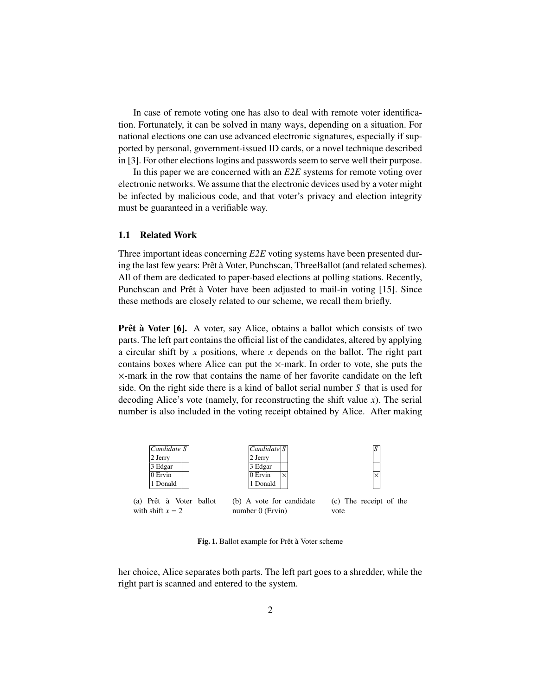In case of remote voting one has also to deal with remote voter identification. Fortunately, it can be solved in many ways, depending on a situation. For national elections one can use advanced electronic signatures, especially if supported by personal, government-issued ID cards, or a novel technique described in [3]. For other elections logins and passwords seem to serve well their purpose.

In this paper we are concerned with an *E2E* systems for remote voting over electronic networks. We assume that the electronic devices used by a voter might be infected by malicious code, and that voter's privacy and election integrity must be guaranteed in a verifiable way.

#### 1.1 Related Work

Three important ideas concerning *E2E* voting systems have been presented during the last few years: Prêt à Voter, Punchscan, ThreeBallot (and related schemes). All of them are dedicated to paper-based elections at polling stations. Recently, Punchscan and Prêt à Voter have been adjusted to mail-in voting [15]. Since these methods are closely related to our scheme, we recall them briefly.

Prêt à Voter [6]. A voter, say Alice, obtains a ballot which consists of two parts. The left part contains the official list of the candidates, altered by applying a circular shift by *x* positions, where *x* depends on the ballot. The right part contains boxes where Alice can put the ×-mark. In order to vote, she puts the ×-mark in the row that contains the name of her favorite candidate on the left side. On the right side there is a kind of ballot serial number *S* that is used for decoding Alice's vote (namely, for reconstructing the shift value *x*). The serial number is also included in the voting receipt obtained by Alice. After making



Fig. 1. Ballot example for Prêt à Voter scheme

her choice, Alice separates both parts. The left part goes to a shredder, while the right part is scanned and entered to the system.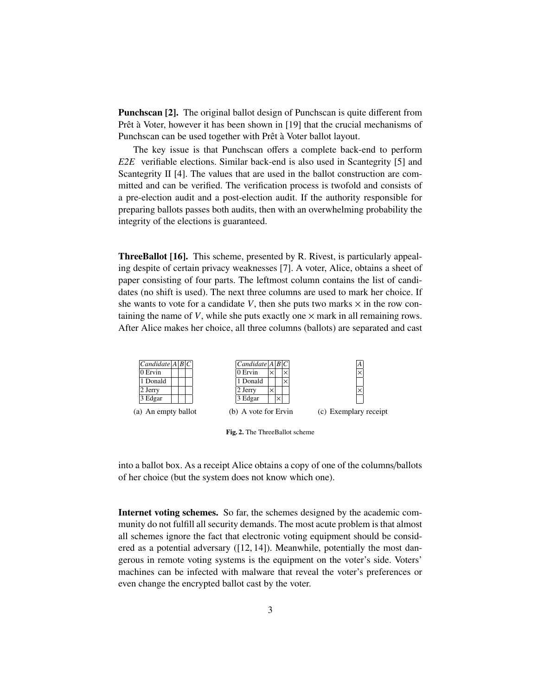**Punchscan [2].** The original ballot design of Punchscan is quite different from Prêt à Voter, however it has been shown in [19] that the crucial mechanisms of Punchscan can be used together with Prêt à Voter ballot layout.

The key issue is that Punchscan offers a complete back-end to perform *E2E* verifiable elections. Similar back-end is also used in Scantegrity [5] and Scantegrity II [4]. The values that are used in the ballot construction are committed and can be verified. The verification process is twofold and consists of a pre-election audit and a post-election audit. If the authority responsible for preparing ballots passes both audits, then with an overwhelming probability the integrity of the elections is guaranteed.

ThreeBallot [16]. This scheme, presented by R. Rivest, is particularly appealing despite of certain privacy weaknesses [7]. A voter, Alice, obtains a sheet of paper consisting of four parts. The leftmost column contains the list of candidates (no shift is used). The next three columns are used to mark her choice. If she wants to vote for a candidate *V*, then she puts two marks  $\times$  in the row containing the name of  $V$ , while she puts exactly one  $\times$  mark in all remaining rows. After Alice makes her choice, all three columns (ballots) are separated and cast



Fig. 2. The ThreeBallot scheme

into a ballot box. As a receipt Alice obtains a copy of one of the columns/ballots of her choice (but the system does not know which one).

Internet voting schemes. So far, the schemes designed by the academic community do not fulfill all security demands. The most acute problem is that almost all schemes ignore the fact that electronic voting equipment should be considered as a potential adversary ([12, 14]). Meanwhile, potentially the most dangerous in remote voting systems is the equipment on the voter's side. Voters' machines can be infected with malware that reveal the voter's preferences or even change the encrypted ballot cast by the voter.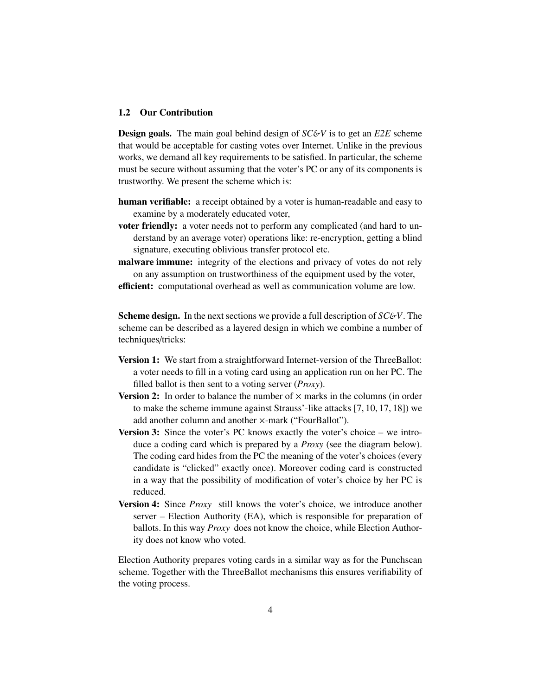#### 1.2 Our Contribution

Design goals. The main goal behind design of *SC*&*V* is to get an *E2E* scheme that would be acceptable for casting votes over Internet. Unlike in the previous works, we demand all key requirements to be satisfied. In particular, the scheme must be secure without assuming that the voter's PC or any of its components is trustworthy. We present the scheme which is:

- human verifiable: a receipt obtained by a voter is human-readable and easy to examine by a moderately educated voter,
- voter friendly: a voter needs not to perform any complicated (and hard to understand by an average voter) operations like: re-encryption, getting a blind signature, executing oblivious transfer protocol etc.
- malware immune: integrity of the elections and privacy of votes do not rely on any assumption on trustworthiness of the equipment used by the voter,

efficient: computational overhead as well as communication volume are low.

Scheme design. In the next sections we provide a full description of *SC*&*V*. The scheme can be described as a layered design in which we combine a number of techniques/tricks:

- Version 1: We start from a straightforward Internet-version of the ThreeBallot: a voter needs to fill in a voting card using an application run on her PC. The filled ballot is then sent to a voting server (*Proxy*).
- **Version 2:** In order to balance the number of  $\times$  marks in the columns (in order to make the scheme immune against Strauss'-like attacks [7, 10, 17, 18]) we add another column and another ×-mark ("FourBallot").
- Version 3: Since the voter's PC knows exactly the voter's choice we introduce a coding card which is prepared by a *Proxy* (see the diagram below). The coding card hides from the PC the meaning of the voter's choices (every candidate is "clicked" exactly once). Moreover coding card is constructed in a way that the possibility of modification of voter's choice by her PC is reduced.
- Version 4: Since *Proxy* still knows the voter's choice, we introduce another server – Election Authority (EA), which is responsible for preparation of ballots. In this way *Proxy* does not know the choice, while Election Authority does not know who voted.

Election Authority prepares voting cards in a similar way as for the Punchscan scheme. Together with the ThreeBallot mechanisms this ensures verifiability of the voting process.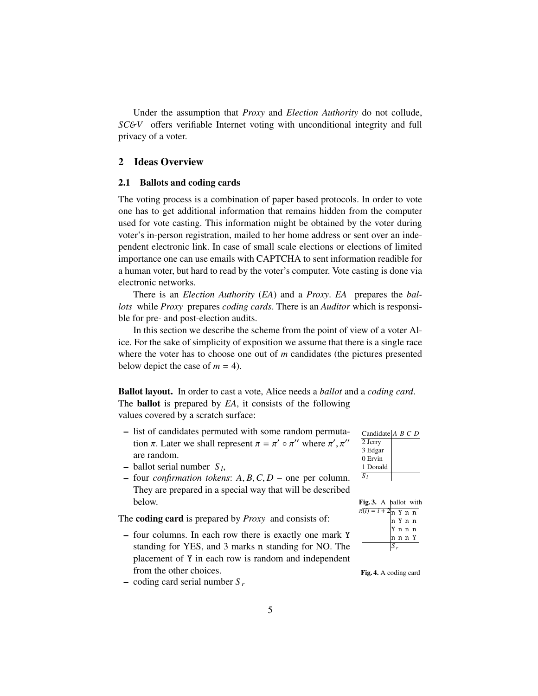Under the assumption that *Proxy* and *Election Authority* do not collude, *SC*&*V* offers verifiable Internet voting with unconditional integrity and full privacy of a voter.

#### 2 Ideas Overview

#### 2.1 Ballots and coding cards

The voting process is a combination of paper based protocols. In order to vote one has to get additional information that remains hidden from the computer used for vote casting. This information might be obtained by the voter during voter's in-person registration, mailed to her home address or sent over an independent electronic link. In case of small scale elections or elections of limited importance one can use emails with CAPTCHA to sent information readible for a human voter, but hard to read by the voter's computer. Vote casting is done via electronic networks.

There is an *Election Authority* (*EA*) and a *Proxy*. *EA* prepares the *ballots* while *Proxy* prepares *coding cards*. There is an *Auditor* which is responsible for pre- and post-election audits.

In this section we describe the scheme from the point of view of a voter Alice. For the sake of simplicity of exposition we assume that there is a single race where the voter has to choose one out of *m* candidates (the pictures presented below depict the case of  $m = 4$ ).

Ballot layout. In order to cast a vote, Alice needs a *ballot* and a *coding card*. The ballot is prepared by *EA*, it consists of the following values covered by a scratch surface:

- list of candidates permuted with some random permutation  $\pi$ . Later we shall represent  $\pi = \pi' \circ \pi''$  where  $\pi', \pi''$ are random.
- ballot serial number *S <sup>l</sup>* ,
- four *confirmation tokens*: *<sup>A</sup>*, *<sup>B</sup>*,*C*, *<sup>D</sup>* one per column. They are prepared in a special way that will be described below.

The coding card is prepared by *Proxy* and consists of:

- four columns. In each row there is exactly one mark Y standing for YES, and 3 marks n standing for NO. The placement of Y in each row is random and independent from the other choices.
- coding card serial number *S <sup>r</sup>*

| Candidate $A \ B \ C \ D$ |  |  |
|---------------------------|--|--|
| 2 Jerry                   |  |  |
| 3 Edgar                   |  |  |
| 0 Ervin                   |  |  |
| 1 Donald                  |  |  |
| S <sub>I</sub>            |  |  |

| <b>Fig. 3.</b> A ballot with |  |         |  |
|------------------------------|--|---------|--|
| $\pi(i) = i + 2n$ Y n n      |  |         |  |
|                              |  | n Y n n |  |
|                              |  | Y n n n |  |
|                              |  | n n n Y |  |
|                              |  |         |  |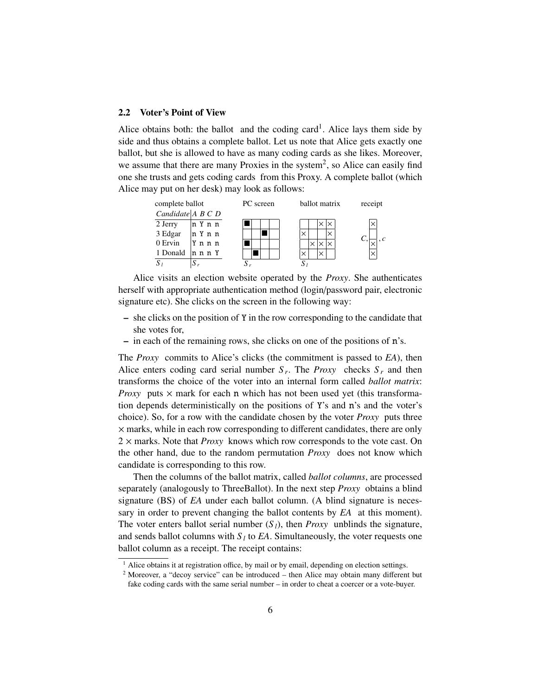#### 2.2 Voter's Point of View

Alice obtains both: the ballot and the coding card<sup>1</sup>. Alice lays them side by side and thus obtains a complete ballot. Let us note that Alice gets exactly one ballot, but she is allowed to have as many coding cards as she likes. Moreover, we assume that there are many Proxies in the system<sup>2</sup>, so Alice can easily find one she trusts and gets coding cards from this Proxy. A complete ballot (which Alice may put on her desk) may look as follows:



Alice visits an election website operated by the *Proxy*. She authenticates herself with appropriate authentication method (login/password pair, electronic signature etc). She clicks on the screen in the following way:

- she clicks on the position of Y in the row corresponding to the candidate that she votes for,
- in each of the remaining rows, she clicks on one of the positions of n's.

The *Proxy* commits to Alice's clicks (the commitment is passed to *EA*), then Alice enters coding card serial number  $S_r$ . The *Proxy* checks  $S_r$  and then transforms the choice of the voter into an internal form called *ballot matrix*: *Proxy* puts  $\times$  mark for each n which has not been used yet (this transformation depends deterministically on the positions of Y's and n's and the voter's choice). So, for a row with the candidate chosen by the voter *Proxy* puts three  $\times$  marks, while in each row corresponding to different candidates, there are only  $2 \times$  marks. Note that *Proxy* knows which row corresponds to the vote cast. On the other hand, due to the random permutation *Proxy* does not know which candidate is corresponding to this row.

Then the columns of the ballot matrix, called *ballot columns*, are processed separately (analogously to ThreeBallot). In the next step *Proxy* obtains a blind signature (BS) of *EA* under each ballot column. (A blind signature is necessary in order to prevent changing the ballot contents by *EA* at this moment). The voter enters ballot serial number  $(S_l)$ , then *Proxy* unblinds the signature, and sends ballot columns with  $S_l$  to  $EA$ . Simultaneously, the voter requests one ballot column as a receipt. The receipt contains:

 $<sup>1</sup>$  Alice obtains it at registration office, by mail or by email, depending on election settings.</sup>

<sup>2</sup> Moreover, a "decoy service" can be introduced – then Alice may obtain many different but fake coding cards with the same serial number – in order to cheat a coercer or a vote-buyer.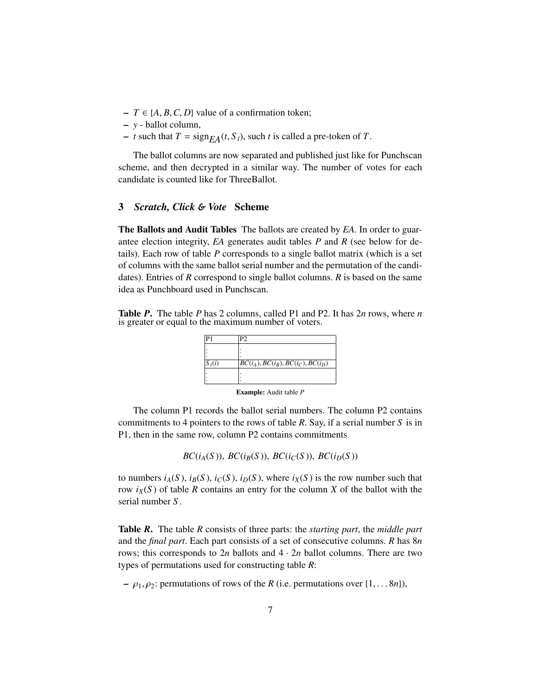- $-T \in \{A, B, C, D\}$  value of a confirmation token;
- *y* ballot column,
- $t$  such that  $T = sign_{FA}(t, S_t)$ , such t is called a pre-token of T.

The ballot columns are now separated and published just like for Punchscan scheme, and then decrypted in a similar way. The number of votes for each candidate is counted like for ThreeBallot.

#### 3 *Scratch, Click* & *Vote* Scheme

The Ballots and Audit Tables The ballots are created by *EA*. In order to guarantee election integrity, *EA* generates audit tables *P* and *R* (see below for details). Each row of table *P* corresponds to a single ballot matrix (which is a set of columns with the same ballot serial number and the permutation of the candidates). Entries of *R* correspond to single ballot columns. *R* is based on the same idea as Punchboard used in Punchscan.

Table *P*. The table *P* has 2 columns, called P1 and P2. It has 2*n* rows, where *n* is greater or equal to the maximum number of voters.

| $S_i(i)$ | $BC(iA), BC(iB), BC(iC), BC(iD)$ |
|----------|----------------------------------|
|          |                                  |

Example: Audit table *P*

The column P1 records the ballot serial numbers. The column P2 contains commitments to 4 pointers to the rows of table *R*. Say, if a serial number *S* is in P1, then in the same row, column P2 contains commitments

*BC*( $i_A(S)$ ), *BC*( $i_B(S)$ ), *BC*( $i_C(S)$ ), *BC*( $i_D(S)$ )

to numbers  $i_A(S)$ ,  $i_B(S)$ ,  $i_C(S)$ ,  $i_D(S)$ , where  $i_X(S)$  is the row number such that row  $i_X(S)$  of table *R* contains an entry for the column *X* of the ballot with the serial number *S* .

Table *R*. The table *R* consists of three parts: the *starting part*, the *middle part* and the *final part*. Each part consists of a set of consecutive columns. *R* has 8*n* rows; this corresponds to  $2n$  ballots and  $4 \cdot 2n$  ballot columns. There are two types of permutations used for constructing table *R*:

 $-\rho_1, \rho_2$ : permutations of rows of the *R* (i.e. permutations over {1, ... 8*n*}),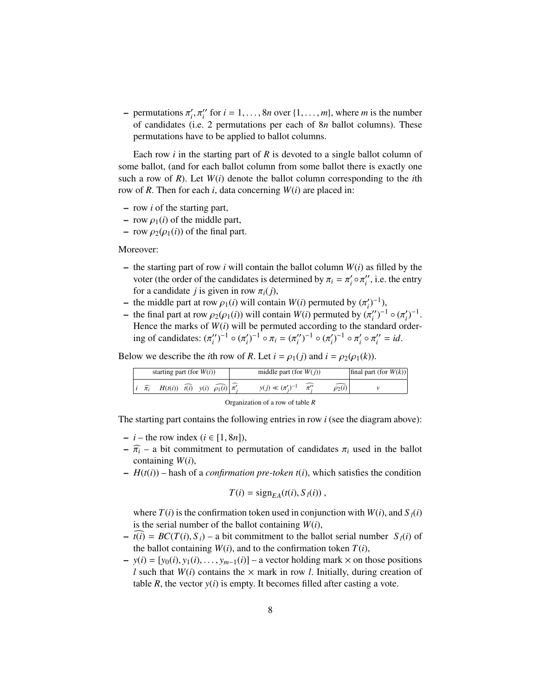- permutations  $\pi_i'$ <br>of candidates (  $\pi_i', \pi_i''$  for  $i = 1, ..., 8n$  over  $\{1, ..., m\}$ , where *m* is the number<br>(i.e. 2 permutations per each of  $8n$  ballot columns). These of candidates (i.e. 2 permutations per each of 8*n* ballot columns). These permutations have to be applied to ballot columns.

Each row *i* in the starting part of *R* is devoted to a single ballot column of some ballot, (and for each ballot column from some ballot there is exactly one such a row of *R*). Let *W*(*i*) denote the ballot column corresponding to the *i*th row of *R*. Then for each *i*, data concerning *W*(*i*) are placed in:

- row *i* of the starting part,
- row  $\rho_1(i)$  of the middle part,
- row  $\rho_2(\rho_1(i))$  of the final part.

Moreover:

- the starting part of row *i* will contain the ballot column  $W(i)$  as filled by the voter (the order of the candidates is determined by  $\pi_i = \pi'_i$ <br>for a candidate *i* is given in row  $\pi_i(i)$  $i^{\prime} \circ \pi_i^{\prime\prime}$  $i'$ , i.e. the entry for a candidate *j* is given in row  $\pi_i(j)$ ,
- the middle part at row  $\rho_1(i)$  will contain  $W(i)$  permuted by  $(\pi_i^j)$ <br>
 the final part at row  $\alpha_i(\alpha_i(i))$  will contain  $W(i)$  permuted by  $(i)$  $'_{i}$ <sup> $(-1)$ </sup>,
- the final part at row  $\rho_2(\rho_1(i))$  will contain  $W(i)$  permuted by  $(\pi_i^{\prime\prime})$ <br>Hence the marks of  $W(i)$  will be permuted according to the star  $(\pi_i')^{-1} \circ (\pi_i')$  $'_{i}$ <sup> $-1$ </sup>. Hence the marks of *W*(*i*) will be permuted according to the standard ordering of candidates:  $(\pi_i'')$  $\binom{n'}{i}^{-1} \circ (\pi'_i)$  $(\pi_i')^{-1} \circ \pi_i = (\pi_i'')$  $\binom{n'}{i}^{-1} \circ (\pi'_i)$  $\pi_i^{\prime})^{-1} \circ \pi_i^{\prime}$  $\int_i' \circ \pi_i''$  $i' = id$ .

Below we describe the *i*th row of *R*. Let  $i = \rho_1(j)$  and  $i = \rho_2(\rho_1(k))$ .

| starting part (for $W(i)$ ) |                                                                  |  | middle part (for $W(j)$ ) |  |  |  | final part (for $W(k)$ ) |  |             |  |
|-----------------------------|------------------------------------------------------------------|--|---------------------------|--|--|--|--------------------------|--|-------------|--|
|                             | $H(t(i))$ $\widehat{t(i)}$ $y(i)$ $\widehat{\rho_1(i)}$ $\pi'_i$ |  |                           |  |  |  | $y(j) \ll (\pi')^{-1}$   |  | $\rho_2(i)$ |  |

The starting part contains the following entries in row *i* (see the diagram above):

- $− i$  the row index ( $i \in [1, 8n]$ ),
- $-\widehat{\pi}_i$  a bit commitment to permutation of candidates  $\pi_i$  used in the ballot containing *W*(*i*),
- $H(t(i))$  hash of a *confirmation pre-token t*(*i*), which satisfies the condition

$$
T(i) = sign_{EA}(t(i), S_i(i)),
$$

where  $T(i)$  is the confirmation token used in conjunction with  $W(i)$ , and  $S<sub>l</sub>(i)$ is the serial number of the ballot containing  $W(i)$ ,

- $\overline{t}(i) = BC(T(i), S_i) a$  bit commitment to the ballot serial number  $S_i(i)$  of the ballot containing  $W(i)$ , and to the confirmation token  $T(i)$ ,
- $-y(i) = [y_0(i), y_1(i), \ldots, y_{m-1}(i)]$  a vector holding mark × on those positions *l* such that  $W(i)$  contains the  $\times$  mark in row *l*. Initially, during creation of table  $R$ , the vector  $y(i)$  is empty. It becomes filled after casting a vote.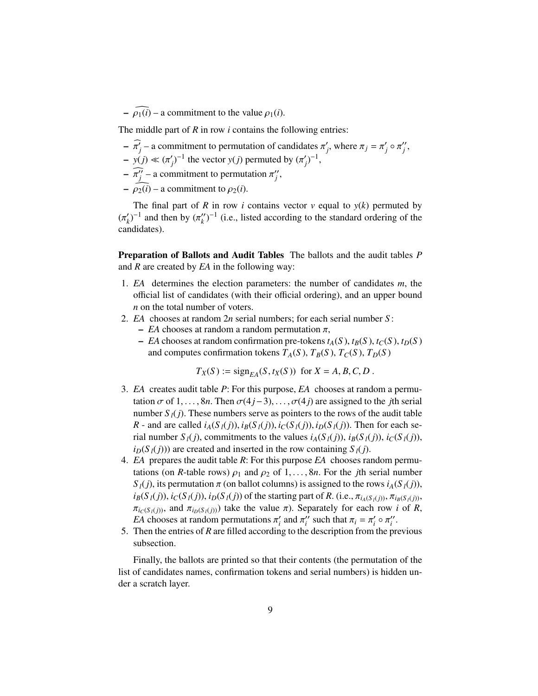$-\widehat{\rho_1(i)}$  – a commitment to the value  $\rho_1(i)$ .

The middle part of *R* in row *i* contains the following entries:

- $-\widehat{\pi}_j'$  a commitment to permutation of candidates  $\pi_j'$ *j*, where  $\pi_j = \pi'_j$  $'_{j} \circ \pi''_{j}$ *j* ,
- $-\frac{y(j)}{n} \ll (\pi'_j)$  $\int_{j}^{j}$ )<sup>-1</sup> the vector *y*(*j*) permuted by ( $\pi'$ <sub>*j*</sub>)  $'_{j})^{-1},$
- $-\widehat{\pi_j''}$  a commitment to permutation  $\pi_j''$ *j* ,
- $\rho_2(\vec{i})$  a commitment to  $\rho_2(\vec{i})$ .

The final part of  $R$  in row  $i$  contains vector  $v$  equal to  $y(k)$  permuted by  $(\pi_k)$  $f_k^{(k)}$ <sup>-1</sup> and then by  $(\pi_k^{(k)})$  $h_k^{\prime\prime}$ <sup>-1</sup> (i.e., listed according to the standard ordering of the candidates).

Preparation of Ballots and Audit Tables The ballots and the audit tables *P* and *R* are created by *EA* in the following way:

- 1. *EA* determines the election parameters: the number of candidates *m*, the official list of candidates (with their official ordering), and an upper bound *n* on the total number of voters.
- 2. *EA* chooses at random 2*n* serial numbers; for each serial number *S* :
	- $-$  *EA* chooses at random a random permutation  $\pi$ ,
	- $-$  *EA* chooses at random confirmation pre-tokens  $t_A(S)$ ,  $t_B(S)$ ,  $t_C(S)$ ,  $t_D(S)$ and computes confirmation tokens  $T_A(S)$ ,  $T_B(S)$ ,  $T_C(S)$ ,  $T_D(S)$

 $T_X(S) := \text{sign}_{EA}(S, t_X(S))$  for  $X = A, B, C, D$ .

- 3. *EA* creates audit table *P*: For this purpose, *EA* chooses at random a permutation  $\sigma$  of 1, ..., 8*n*. Then  $\sigma(4j-3)$ , ...,  $\sigma(4j)$  are assigned to the *j*th serial number  $S_l(j)$ . These numbers serve as pointers to the rows of the audit table R - and are called  $i_A(S_l(j)), i_B(S_l(j)), i_C(S_l(j)), i_D(S_l(j))$ . Then for each serial number  $S_l(j)$ , commitments to the values  $i_A(S_l(j))$ ,  $i_B(S_l(j))$ ,  $i_C(S_l(j))$ ,  $i_D(S_l(j))$  are created and inserted in the row containing  $S_l(j)$ .
- 4. *EA* prepares the audit table *R*: For this purpose *EA* chooses random permutations (on *R*-table rows)  $\rho_1$  and  $\rho_2$  of 1, ..., 8*n*. For the *j*th serial number  $S_l(j)$ , its permutation  $\pi$  (on ballot columns) is assigned to the rows  $i_A(S_l(j))$ ,  $i_B(S_l(j)), i_C(S_l(j)), i_D(S_l(j))$  of the starting part of R. (i.e.,  $\pi_{i_A(S_l(j))}, \pi_{i_B(S_l(j))}$ ,  $\pi_{i \in (S_i(j))}$ , and  $\pi_{i \in (S_i(j))}$  take the value  $\pi$ ). Separately for each row *i* of *R*, *EA* chooses at random permutations  $\pi_i^{\prime}$ <br>Then the entries of *R* are filled according  $\int_{i}$  and  $\pi''$ <br>no to the *i*such that  $\pi_i = \pi'_i$ e description from  $\int_i' \circ \pi_i''$ <br>
the m *i* .
- 5. Then the entries of *R* are filled according to the description from the previous subsection.

Finally, the ballots are printed so that their contents (the permutation of the list of candidates names, confirmation tokens and serial numbers) is hidden under a scratch layer.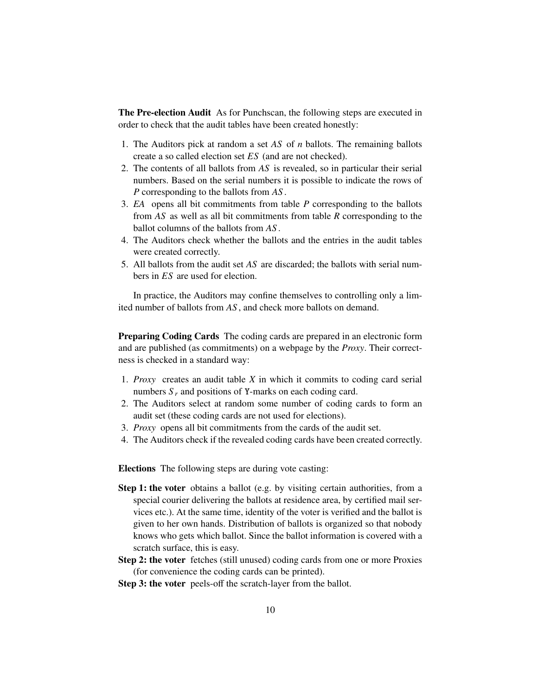The Pre-election Audit As for Punchscan, the following steps are executed in order to check that the audit tables have been created honestly:

- 1. The Auditors pick at random a set *AS* of *n* ballots. The remaining ballots create a so called election set *ES* (and are not checked).
- 2. The contents of all ballots from *AS* is revealed, so in particular their serial numbers. Based on the serial numbers it is possible to indicate the rows of *P* corresponding to the ballots from *AS* .
- 3. *EA* opens all bit commitments from table *P* corresponding to the ballots from *AS* as well as all bit commitments from table *R* corresponding to the ballot columns of the ballots from *AS* .
- 4. The Auditors check whether the ballots and the entries in the audit tables were created correctly.
- 5. All ballots from the audit set *AS* are discarded; the ballots with serial numbers in *ES* are used for election.

In practice, the Auditors may confine themselves to controlling only a limited number of ballots from *AS* , and check more ballots on demand.

Preparing Coding Cards The coding cards are prepared in an electronic form and are published (as commitments) on a webpage by the *Proxy*. Their correctness is checked in a standard way:

- 1. *Proxy* creates an audit table *X* in which it commits to coding card serial numbers  $S_r$  and positions of Y-marks on each coding card.
- 2. The Auditors select at random some number of coding cards to form an audit set (these coding cards are not used for elections).
- 3. *Proxy* opens all bit commitments from the cards of the audit set.
- 4. The Auditors check if the revealed coding cards have been created correctly.

Elections The following steps are during vote casting:

- Step 1: the voter obtains a ballot (e.g. by visiting certain authorities, from a special courier delivering the ballots at residence area, by certified mail services etc.). At the same time, identity of the voter is verified and the ballot is given to her own hands. Distribution of ballots is organized so that nobody knows who gets which ballot. Since the ballot information is covered with a scratch surface, this is easy.
- Step 2: the voter fetches (still unused) coding cards from one or more Proxies (for convenience the coding cards can be printed).

Step 3: the voter peels-off the scratch-layer from the ballot.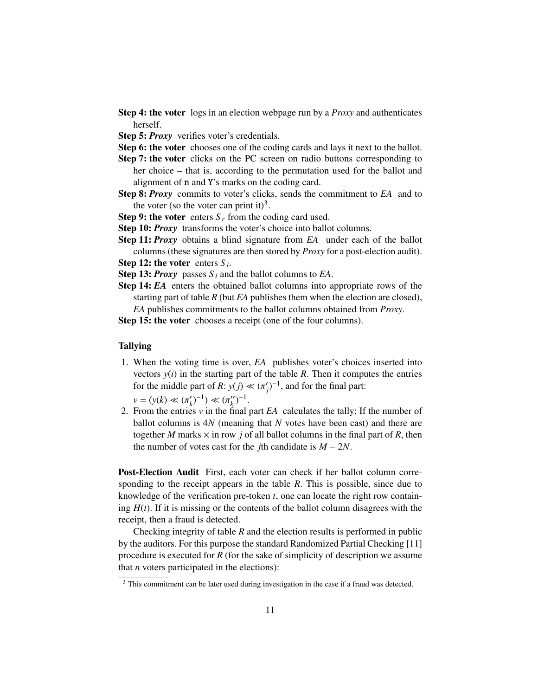- Step 4: the voter logs in an election webpage run by a *Proxy* and authenticates herself.
- Step 5: *Proxy* verifies voter's credentials.
- Step 6: the voter chooses one of the coding cards and lays it next to the ballot.
- Step 7: the voter clicks on the PC screen on radio buttons corresponding to her choice – that is, according to the permutation used for the ballot and alignment of n and Y's marks on the coding card.
- Step 8: *Proxy* commits to voter's clicks, sends the commitment to *EA* and to the voter (so the voter can print it)<sup>3</sup>.
- **Step 9: the voter** enters  $S_r$  from the coding card used.
- Step 10: *Proxy* transforms the voter's choice into ballot columns.
- Step 11: *Proxy* obtains a blind signature from *EA* under each of the ballot columns (these signatures are then stored by *Proxy* for a post-election audit).
- **Step 12: the voter** enters  $S_i$ .
- **Step 13:** *Proxy* passes  $S_l$  and the ballot columns to *EA*.
- Step 14: *EA* enters the obtained ballot columns into appropriate rows of the starting part of table *R* (but *EA* publishes them when the election are closed), *EA* publishes commitments to the ballot columns obtained from *Proxy*.
- Step 15: the voter chooses a receipt (one of the four columns).

#### Tallying

1. When the voting time is over, *EA* publishes voter's choices inserted into vectors  $y(i)$  in the starting part of the table *R*. Then it computes the entries for the middle part of *R*:  $y(j) \ll (\pi'_j)$  $f_j$ <sup> $-1$ </sup>, and for the final part:

 $v = (y(k) \ll (\pi'_k))$ <br>From the entrie  $(\pi_k')^{-1}$ )  $\ll (\pi_k'')$ <br>
es *v* in the fi  $n'_{k}$ <sup> $-1$ </sup>.

2. From the entries *v* in the final part *EA* calculates the tally: If the number of ballot columns is 4*N* (meaning that *N* votes have been cast) and there are together *M* marks  $\times$  in row *j* of all ballot columns in the final part of *R*, then the number of votes cast for the *j*th candidate is *M* − 2*N*.

Post-Election Audit First, each voter can check if her ballot column corresponding to the receipt appears in the table *R*. This is possible, since due to knowledge of the verification pre-token *t*, one can locate the right row containing  $H(t)$ . If it is missing or the contents of the ballot column disagrees with the receipt, then a fraud is detected.

Checking integrity of table *R* and the election results is performed in public by the auditors. For this purpose the standard Randomized Partial Checking [11] procedure is executed for *R* (for the sake of simplicity of description we assume that *n* voters participated in the elections):

 $3$  This commitment can be later used during investigation in the case if a fraud was detected.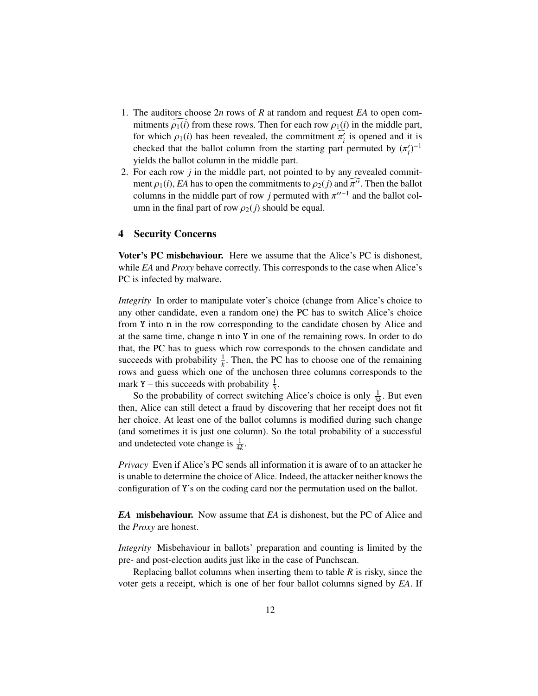- 1. The auditors choose 2*n* rows of *R* at random and request *EA* to open commitments  $\rho_1(i)$  from these rows. Then for each row  $\rho_1(i)$  in the middle part, for which  $\rho_1(i)$  has been revealed, the commitment  $\hat{\pi}_i^j$  is opened and it is checked that the ballot column from the starting part permuted by  $(\pi')^{-1}$ checked that the ballot column from the starting part permuted by  $(\pi_i^{\prime})$  $'_{i}$ <sup> $-1$ </sup> yields the ballot column in the middle part.
- 2. For each row *j* in the middle part, not pointed to by any revealed commitment  $\rho_1(i)$ , *EA* has to open the commitments to  $\rho_2(j)$  and  $\hat{\pi}^{\prime\prime}$ . Then the ballot colored with  $\pi^{\prime\prime-1}$  and the ballot colored columns in the middle part of row *j* permuted with  $\pi''^{-1}$  and the ballot col-<br>ump in the final part of row  $\alpha(i)$  should be equal umn in the final part of row  $\rho_2(j)$  should be equal.

#### 4 Security Concerns

Voter's PC misbehaviour. Here we assume that the Alice's PC is dishonest, while *EA* and *Proxy* behave correctly. This corresponds to the case when Alice's PC is infected by malware.

*Integrity* In order to manipulate voter's choice (change from Alice's choice to any other candidate, even a random one) the PC has to switch Alice's choice from Y into n in the row corresponding to the candidate chosen by Alice and at the same time, change n into Y in one of the remaining rows. In order to do that, the PC has to guess which row corresponds to the chosen candidate and succeeds with probability  $\frac{1}{k}$ . Then, the PC has to choose one of the remaining rows and guess which one of the unchosen three columns corresponds to the mark Y – this succeeds with probability  $\frac{1}{3}$ .

So the probability of correct switching Alice's choice is only  $\frac{1}{3k}$ . But even then, Alice can still detect a fraud by discovering that her receipt does not fit her choice. At least one of the ballot columns is modified during such change (and sometimes it is just one column). So the total probability of a successful and undetected vote change is  $\frac{1}{4k}$ .

*Privacy* Even if Alice's PC sends all information it is aware of to an attacker he is unable to determine the choice of Alice. Indeed, the attacker neither knows the configuration of Y's on the coding card nor the permutation used on the ballot.

*EA* misbehaviour. Now assume that *EA* is dishonest, but the PC of Alice and the *Proxy* are honest.

*Integrity* Misbehaviour in ballots' preparation and counting is limited by the pre- and post-election audits just like in the case of Punchscan.

Replacing ballot columns when inserting them to table *R* is risky, since the voter gets a receipt, which is one of her four ballot columns signed by *EA*. If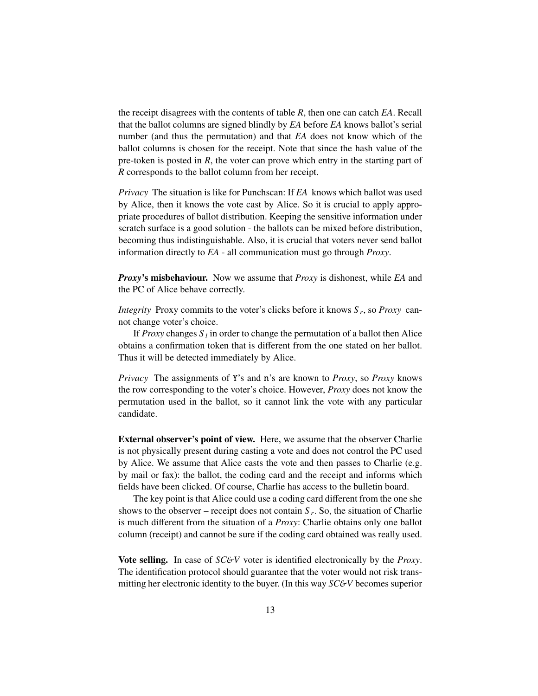the receipt disagrees with the contents of table *R*, then one can catch *EA*. Recall that the ballot columns are signed blindly by *EA* before *EA* knows ballot's serial number (and thus the permutation) and that *EA* does not know which of the ballot columns is chosen for the receipt. Note that since the hash value of the pre-token is posted in *R*, the voter can prove which entry in the starting part of *R* corresponds to the ballot column from her receipt.

*Privacy* The situation is like for Punchscan: If *EA* knows which ballot was used by Alice, then it knows the vote cast by Alice. So it is crucial to apply appropriate procedures of ballot distribution. Keeping the sensitive information under scratch surface is a good solution - the ballots can be mixed before distribution, becoming thus indistinguishable. Also, it is crucial that voters never send ballot information directly to *EA* - all communication must go through *Proxy*.

*Proxy*'s misbehaviour. Now we assume that *Proxy* is dishonest, while *EA* and the PC of Alice behave correctly.

*Integrity* Proxy commits to the voter's clicks before it knows *S <sup>r</sup>* , so *Proxy* cannot change voter's choice.

If *Proxy* changes  $S_l$  in order to change the permutation of a ballot then Alice obtains a confirmation token that is different from the one stated on her ballot. Thus it will be detected immediately by Alice.

*Privacy* The assignments of Y's and n's are known to *Proxy*, so *Proxy* knows the row corresponding to the voter's choice. However, *Proxy* does not know the permutation used in the ballot, so it cannot link the vote with any particular candidate.

External observer's point of view. Here, we assume that the observer Charlie is not physically present during casting a vote and does not control the PC used by Alice. We assume that Alice casts the vote and then passes to Charlie (e.g. by mail or fax): the ballot, the coding card and the receipt and informs which fields have been clicked. Of course, Charlie has access to the bulletin board.

The key point is that Alice could use a coding card different from the one she shows to the observer – receipt does not contain  $S_r$ . So, the situation of Charlie is much different from the situation of a *Proxy*: Charlie obtains only one ballot column (receipt) and cannot be sure if the coding card obtained was really used.

Vote selling. In case of *SC*&*V* voter is identified electronically by the *Proxy*. The identification protocol should guarantee that the voter would not risk transmitting her electronic identity to the buyer. (In this way *SC&V* becomes superior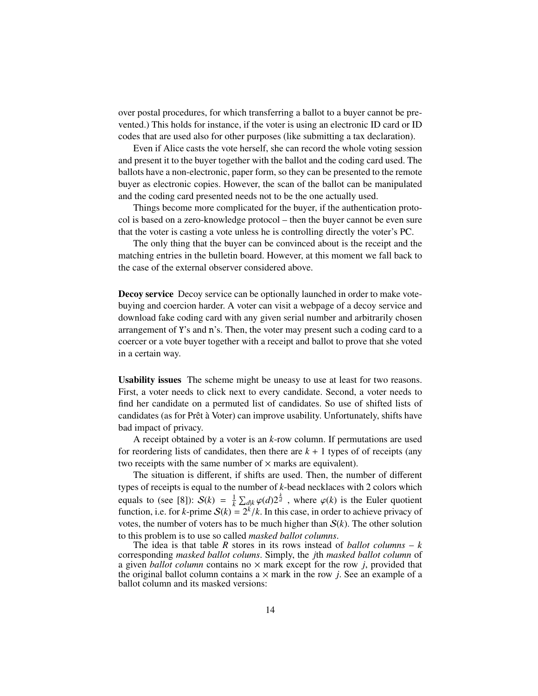over postal procedures, for which transferring a ballot to a buyer cannot be prevented.) This holds for instance, if the voter is using an electronic ID card or ID codes that are used also for other purposes (like submitting a tax declaration).

Even if Alice casts the vote herself, she can record the whole voting session and present it to the buyer together with the ballot and the coding card used. The ballots have a non-electronic, paper form, so they can be presented to the remote buyer as electronic copies. However, the scan of the ballot can be manipulated and the coding card presented needs not to be the one actually used.

Things become more complicated for the buyer, if the authentication protocol is based on a zero-knowledge protocol – then the buyer cannot be even sure that the voter is casting a vote unless he is controlling directly the voter's PC.

The only thing that the buyer can be convinced about is the receipt and the matching entries in the bulletin board. However, at this moment we fall back to the case of the external observer considered above.

Decoy service Decoy service can be optionally launched in order to make votebuying and coercion harder. A voter can visit a webpage of a decoy service and download fake coding card with any given serial number and arbitrarily chosen arrangement of Y's and n's. Then, the voter may present such a coding card to a coercer or a vote buyer together with a receipt and ballot to prove that she voted in a certain way.

Usability issues The scheme might be uneasy to use at least for two reasons. First, a voter needs to click next to every candidate. Second, a voter needs to find her candidate on a permuted list of candidates. So use of shifted lists of candidates (as for Prêt à Voter) can improve usability. Unfortunately, shifts have bad impact of privacy.

A receipt obtained by a voter is an *k*-row column. If permutations are used for reordering lists of candidates, then there are  $k + 1$  types of of receipts (any two receipts with the same number of  $\times$  marks are equivalent).

The situation is different, if shifts are used. Then, the number of different types of receipts is equal to the number of *k*-bead necklaces with 2 colors which equals to (see [8]):  $S(k) = \frac{1}{k} \sum_{d|k} \varphi(d) 2^{\frac{k}{d}}$ , where  $\varphi(k)$  is the Euler quotient<br>function i.e. for k prime  $S(k) = 2^k/k$ . In this case, in order to achieve privacy of function, i.e. for *k*-prime  $S(k) = 2^k/k$ . In this case, in order to achieve privacy of votes, the number of voters has to be much higher than  $S(k)$ . The other solution votes, the number of voters has to be much higher than  $S(k)$ . The other solution to this problem is to use so called *masked ballot columns*.

The idea is that table *R* stores in its rows instead of *ballot columns* –  $k$ corresponding *masked ballot colums*. Simply, the *j*th *masked ballot column* of a given *ballot column* contains no  $\times$  mark except for the row *j*, provided that the original ballot column contains  $a \times$  mark in the row *j*. See an example of a ballot column and its masked versions: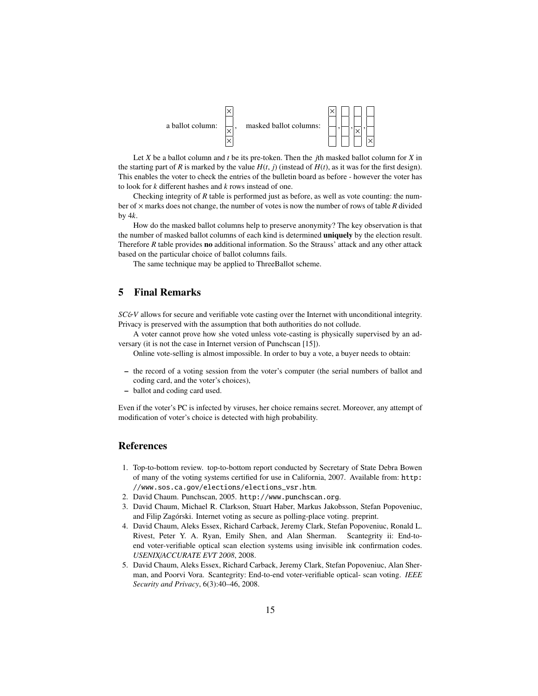

Let *X* be a ballot column and *t* be its pre-token. Then the *j*th masked ballot column for *X* in the starting part of *R* is marked by the value  $H(t, j)$  (instead of  $H(t)$ , as it was for the first design). This enables the voter to check the entries of the bulletin board as before - however the voter has to look for *k* different hashes and *k* rows instead of one.

Checking integrity of *R* table is performed just as before, as well as vote counting: the number of × marks does not change, the number of votes is now the number of rows of table *R* divided by 4*k*.

How do the masked ballot columns help to preserve anonymity? The key observation is that the number of masked ballot columns of each kind is determined **uniquely** by the election result. Therefore *R* table provides no additional information. So the Strauss' attack and any other attack based on the particular choice of ballot columns fails.

The same technique may be applied to ThreeBallot scheme.

### 5 Final Remarks

*SC&V* allows for secure and verifiable vote casting over the Internet with unconditional integrity. Privacy is preserved with the assumption that both authorities do not collude.

A voter cannot prove how she voted unless vote-casting is physically supervised by an adversary (it is not the case in Internet version of Punchscan [15]).

Online vote-selling is almost impossible. In order to buy a vote, a buyer needs to obtain:

- the record of a voting session from the voter's computer (the serial numbers of ballot and coding card, and the voter's choices),
- ballot and coding card used.

Even if the voter's PC is infected by viruses, her choice remains secret. Moreover, any attempt of modification of voter's choice is detected with high probability.

#### References

- 1. Top-to-bottom review. top-to-bottom report conducted by Secretary of State Debra Bowen of many of the voting systems certified for use in California, 2007. Available from: http: //www.sos.ca.gov/elections/elections\_vsr.htm.
- 2. David Chaum. Punchscan, 2005. http://www.punchscan.org.
- 3. David Chaum, Michael R. Clarkson, Stuart Haber, Markus Jakobsson, Stefan Popoveniuc, and Filip Zagórski. Internet voting as secure as polling-place voting. preprint.
- 4. David Chaum, Aleks Essex, Richard Carback, Jeremy Clark, Stefan Popoveniuc, Ronald L. Rivest, Peter Y. A. Ryan, Emily Shen, and Alan Sherman. Scantegrity ii: End-toend voter-verifiable optical scan election systems using invisible ink confirmation codes. *USENIX*/*ACCURATE EVT 2008*, 2008.
- 5. David Chaum, Aleks Essex, Richard Carback, Jeremy Clark, Stefan Popoveniuc, Alan Sherman, and Poorvi Vora. Scantegrity: End-to-end voter-verifiable optical- scan voting. *IEEE Security and Privacy*, 6(3):40–46, 2008.